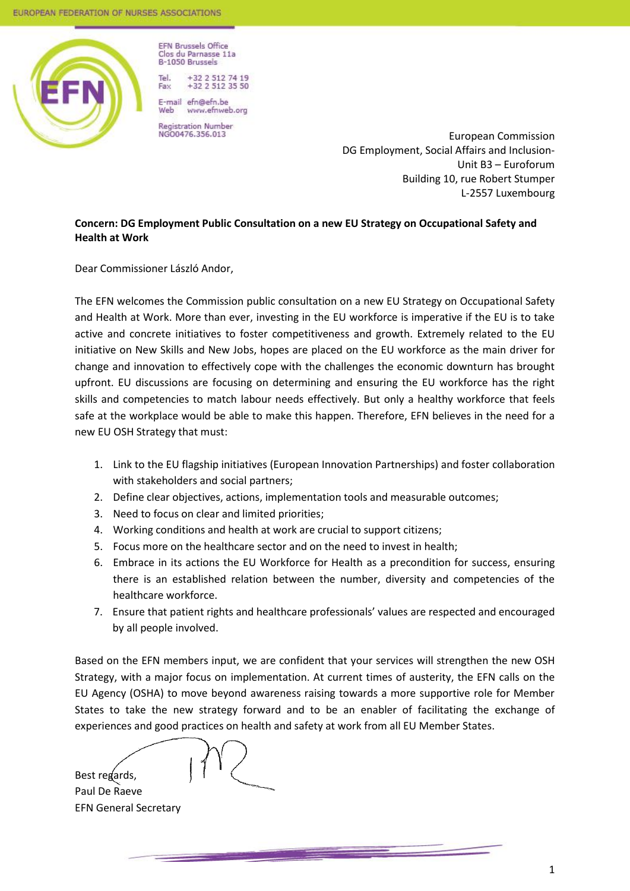

**EFN Brussels Office** Clos du Parnasse 11a B-1050 Brussels

Tel. +32 2 512 74 19  $+32$  2 512 35 50 Fax F-mail efn@efn.be

Web www.efnweb.org Registration Number<br>NGO0476.356.013

European Commission DG Employment, Social Affairs and Inclusion-Unit B3 – Euroforum Building 10, rue Robert Stumper L-2557 Luxembourg

## **Concern: DG Employment Public Consultation on a new EU Strategy on Occupational Safety and Health at Work**

Dear Commissioner László Andor,

The EFN welcomes the Commission public consultation on a new EU Strategy on Occupational Safety and Health at Work. More than ever, investing in the EU workforce is imperative if the EU is to take active and concrete initiatives to foster competitiveness and growth. Extremely related to the EU initiative on New Skills and New Jobs, hopes are placed on the EU workforce as the main driver for change and innovation to effectively cope with the challenges the economic downturn has brought upfront. EU discussions are focusing on determining and ensuring the EU workforce has the right skills and competencies to match labour needs effectively. But only a healthy workforce that feels safe at the workplace would be able to make this happen. Therefore, EFN believes in the need for a new EU OSH Strategy that must:

- 1. Link to the EU flagship initiatives (European Innovation Partnerships) and foster collaboration with stakeholders and social partners;
- 2. Define clear objectives, actions, implementation tools and measurable outcomes;
- 3. Need to focus on clear and limited priorities;
- 4. Working conditions and health at work are crucial to support citizens;
- 5. Focus more on the healthcare sector and on the need to invest in health;
- 6. Embrace in its actions the EU Workforce for Health as a precondition for success, ensuring there is an established relation between the number, diversity and competencies of the healthcare workforce.
- 7. Ensure that patient rights and healthcare professionals' values are respected and encouraged by all people involved.

Based on the EFN members input, we are confident that your services will strengthen the new OSH Strategy, with a major focus on implementation. At current times of austerity, the EFN calls on the EU Agency (OSHA) to move beyond awareness raising towards a more supportive role for Member States to take the new strategy forward and to be an enabler of facilitating the exchange of experiences and good practices on health and safety at work from all EU Member States.

Best regards,

Paul De Raeve EFN General Secretary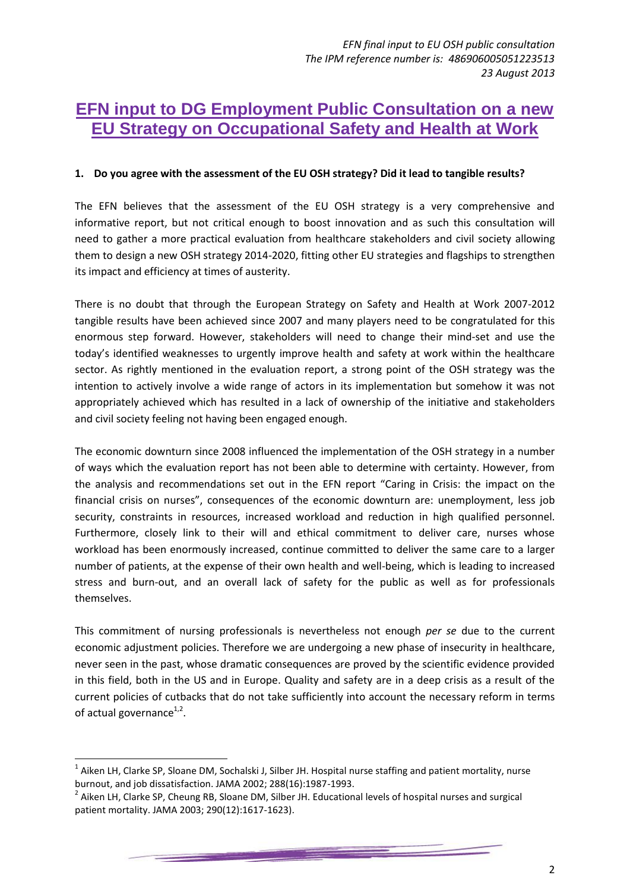# **EFN input to DG Employment Public Consultation on a new EU Strategy on Occupational Safety and Health at Work**

## **1. Do you agree with the assessment of the EU OSH strategy? Did it lead to tangible results?**

The EFN believes that the assessment of the EU OSH strategy is a very comprehensive and informative report, but not critical enough to boost innovation and as such this consultation will need to gather a more practical evaluation from healthcare stakeholders and civil society allowing them to design a new OSH strategy 2014-2020, fitting other EU strategies and flagships to strengthen its impact and efficiency at times of austerity.

There is no doubt that through the European Strategy on Safety and Health at Work 2007-2012 tangible results have been achieved since 2007 and many players need to be congratulated for this enormous step forward. However, stakeholders will need to change their mind-set and use the today's identified weaknesses to urgently improve health and safety at work within the healthcare sector. As rightly mentioned in the evaluation report, a strong point of the OSH strategy was the intention to actively involve a wide range of actors in its implementation but somehow it was not appropriately achieved which has resulted in a lack of ownership of the initiative and stakeholders and civil society feeling not having been engaged enough.

The economic downturn since 2008 influenced the implementation of the OSH strategy in a number of ways which the evaluation report has not been able to determine with certainty. However, from the analysis and recommendations set out in the EFN report "Caring in Crisis: the impact on the financial crisis on nurses", consequences of the economic downturn are: unemployment, less job security, constraints in resources, increased workload and reduction in high qualified personnel. Furthermore, closely link to their will and ethical commitment to deliver care, nurses whose workload has been enormously increased, continue committed to deliver the same care to a larger number of patients, at the expense of their own health and well-being, which is leading to increased stress and burn-out, and an overall lack of safety for the public as well as for professionals themselves.

This commitment of nursing professionals is nevertheless not enough *per se* due to the current economic adjustment policies. Therefore we are undergoing a new phase of insecurity in healthcare, never seen in the past, whose dramatic consequences are proved by the scientific evidence provided in this field, both in the US and in Europe. Quality and safety are in a deep crisis as a result of the current policies of cutbacks that do not take sufficiently into account the necessary reform in terms of actual governance<sup>1,2</sup>.

1

 $^1$  Aiken LH, Clarke SP, Sloane DM, Sochalski J, Silber JH. Hospital nurse staffing and patient mortality, nurse burnout, and job dissatisfaction. JAMA 2002; 288(16):1987-1993.

<sup>&</sup>lt;sup>2</sup> Aiken LH, Clarke SP, Cheung RB, Sloane DM, Silber JH. Educational levels of hospital nurses and surgical patient mortality. JAMA 2003; 290(12):1617-1623).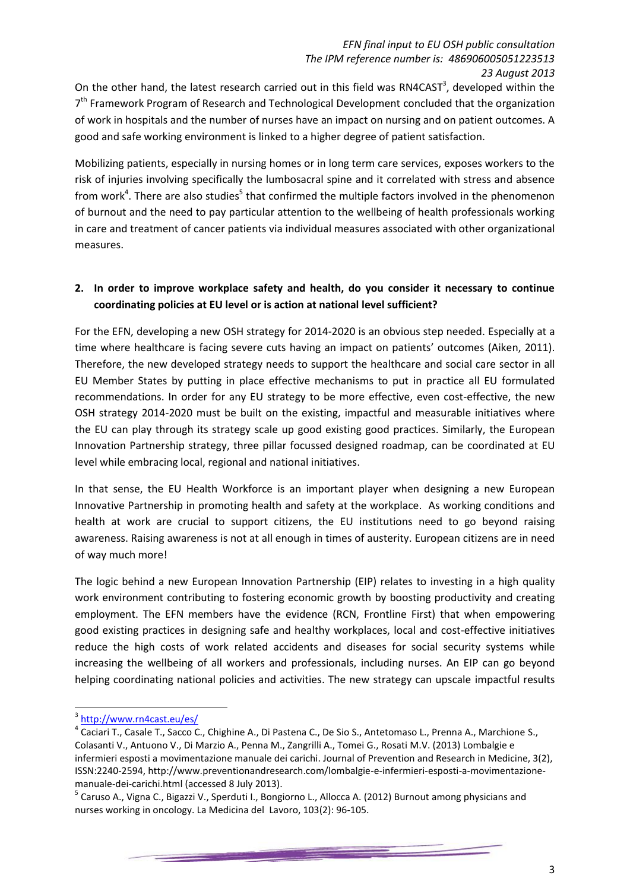On the other hand, the latest research carried out in this field was RN4CAST<sup>3</sup>, developed within the 7<sup>th</sup> Framework Program of Research and Technological Development concluded that the organization of work in hospitals and the number of nurses have an impact on nursing and on patient outcomes. A good and safe working environment is linked to a higher degree of patient satisfaction.

Mobilizing patients, especially in nursing homes or in long term care services, exposes workers to the risk of injuries involving specifically the lumbosacral spine and it correlated with stress and absence from work<sup>4</sup>. There are also studies<sup>5</sup> that confirmed the multiple factors involved in the phenomenon of burnout and the need to pay particular attention to the wellbeing of health professionals working in care and treatment of cancer patients via individual measures associated with other organizational measures.

# **2. In order to improve workplace safety and health, do you consider it necessary to continue coordinating policies at EU level or is action at national level sufficient?**

For the EFN, developing a new OSH strategy for 2014-2020 is an obvious step needed. Especially at a time where healthcare is facing severe cuts having an impact on patients' outcomes (Aiken, 2011). Therefore, the new developed strategy needs to support the healthcare and social care sector in all EU Member States by putting in place effective mechanisms to put in practice all EU formulated recommendations. In order for any EU strategy to be more effective, even cost-effective, the new OSH strategy 2014-2020 must be built on the existing, impactful and measurable initiatives where the EU can play through its strategy scale up good existing good practices. Similarly, the European Innovation Partnership strategy, three pillar focussed designed roadmap, can be coordinated at EU level while embracing local, regional and national initiatives.

In that sense, the EU Health Workforce is an important player when designing a new European Innovative Partnership in promoting health and safety at the workplace. As working conditions and health at work are crucial to support citizens, the EU institutions need to go beyond raising awareness. Raising awareness is not at all enough in times of austerity. European citizens are in need of way much more!

The logic behind a new European Innovation Partnership (EIP) relates to investing in a high quality work environment contributing to fostering economic growth by boosting productivity and creating employment. The EFN members have the evidence (RCN, Frontline First) that when empowering good existing practices in designing safe and healthy workplaces, local and cost-effective initiatives reduce the high costs of work related accidents and diseases for social security systems while increasing the wellbeing of all workers and professionals, including nurses. An EIP can go beyond helping coordinating national policies and activities. The new strategy can upscale impactful results

**.** 

<sup>&</sup>lt;sup>3</sup> <http://www.rn4cast.eu/es/>

<sup>&</sup>lt;sup>4</sup> Caciari T., Casale T., Sacco C., Chighine A., Di Pastena C., De Sio S., Antetomaso L., Prenna A., Marchione S., Colasanti V., Antuono V., Di Marzio A., Penna M., Zangrilli A., Tomei G., Rosati M.V. (2013) Lombalgie e infermieri esposti a movimentazione manuale dei carichi. Journal of Prevention and Research in Medicine, 3(2), ISSN:2240-2594, http://www.preventionandresearch.com/lombalgie-e-infermieri-esposti-a-movimentazionemanuale-dei-carichi.html (accessed 8 July 2013).

<sup>&</sup>lt;sup>5</sup> Caruso A., Vigna C., Bigazzi V., Sperduti I., Bongiorno L., Allocca A. (2012) Burnout among physicians and nurses working in oncology. La Medicina del Lavoro, 103(2): 96-105.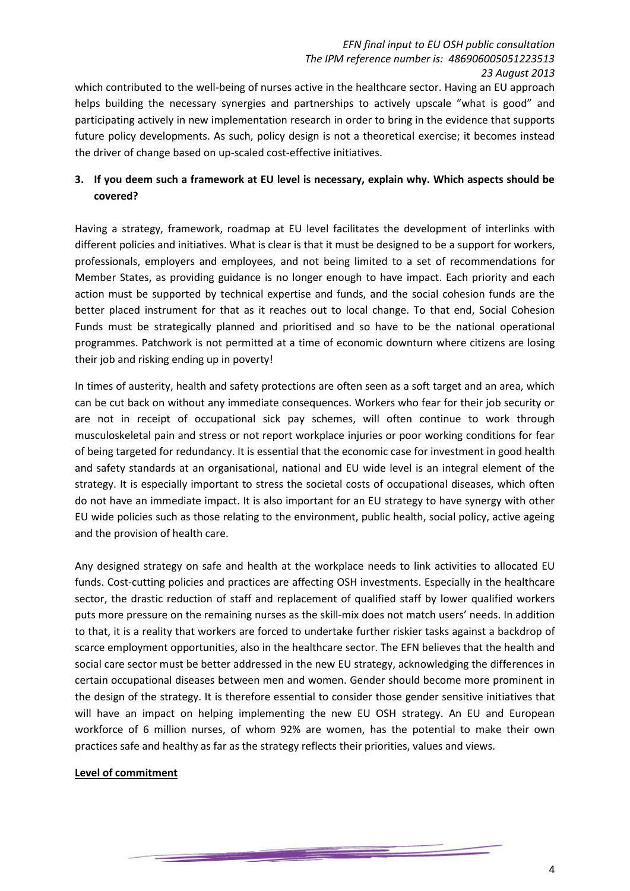which contributed to the well-being of nurses active in the healthcare sector. Having an EU approach helps building the necessary synergies and partnerships to actively upscale "what is good" and participating actively in new implementation research in order to bring in the evidence that supports future policy developments. As such, policy design is not a theoretical exercise; it becomes instead the driver of change based on up-scaled cost-effective initiatives.

# **3. If you deem such a framework at EU level is necessary, explain why. Which aspects should be covered?**

Having a strategy, framework, roadmap at EU level facilitates the development of interlinks with different policies and initiatives. What is clear is that it must be designed to be a support for workers, professionals, employers and employees, and not being limited to a set of recommendations for Member States, as providing guidance is no longer enough to have impact. Each priority and each action must be supported by technical expertise and funds, and the social cohesion funds are the better placed instrument for that as it reaches out to local change. To that end, Social Cohesion Funds must be strategically planned and prioritised and so have to be the national operational programmes. Patchwork is not permitted at a time of economic downturn where citizens are losing their job and risking ending up in poverty!

In times of austerity, health and safety protections are often seen as a soft target and an area, which can be cut back on without any immediate consequences. Workers who fear for their job security or are not in receipt of occupational sick pay schemes, will often continue to work through musculoskeletal pain and stress or not report workplace injuries or poor working conditions for fear of being targeted for redundancy. It is essential that the economic case for investment in good health and safety standards at an organisational, national and EU wide level is an integral element of the strategy. It is especially important to stress the societal costs of occupational diseases, which often do not have an immediate impact. It is also important for an EU strategy to have synergy with other EU wide policies such as those relating to the environment, public health, social policy, active ageing and the provision of health care.

Any designed strategy on safe and health at the workplace needs to link activities to allocated EU funds. Cost-cutting policies and practices are affecting OSH investments. Especially in the healthcare sector, the drastic reduction of staff and replacement of qualified staff by lower qualified workers puts more pressure on the remaining nurses as the skill-mix does not match users' needs. In addition to that, it is a reality that workers are forced to undertake further riskier tasks against a backdrop of scarce employment opportunities, also in the healthcare sector. The EFN believes that the health and social care sector must be better addressed in the new EU strategy, acknowledging the differences in certain occupational diseases between men and women. Gender should become more prominent in the design of the strategy. It is therefore essential to consider those gender sensitive initiatives that will have an impact on helping implementing the new EU OSH strategy. An EU and European workforce of 6 million nurses, of whom 92% are women, has the potential to make their own practices safe and healthy as far as the strategy reflects their priorities, values and views.

#### **Level of commitment**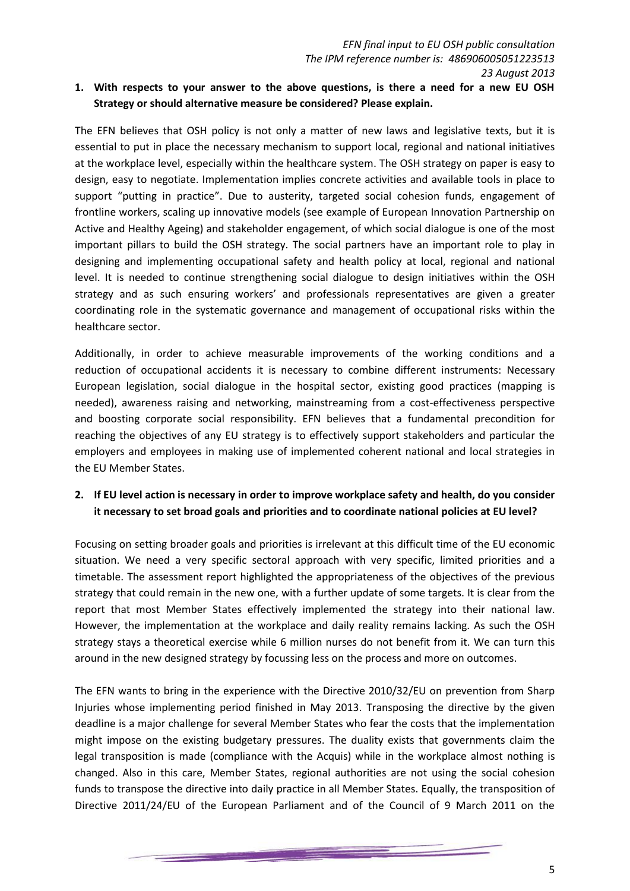## **1. With respects to your answer to the above questions, is there a need for a new EU OSH Strategy or should alternative measure be considered? Please explain.**

The EFN believes that OSH policy is not only a matter of new laws and legislative texts, but it is essential to put in place the necessary mechanism to support local, regional and national initiatives at the workplace level, especially within the healthcare system. The OSH strategy on paper is easy to design, easy to negotiate. Implementation implies concrete activities and available tools in place to support "putting in practice". Due to austerity, targeted social cohesion funds, engagement of frontline workers, scaling up innovative models (see example of European Innovation Partnership on Active and Healthy Ageing) and stakeholder engagement, of which social dialogue is one of the most important pillars to build the OSH strategy. The social partners have an important role to play in designing and implementing occupational safety and health policy at local, regional and national level. It is needed to continue strengthening social dialogue to design initiatives within the OSH strategy and as such ensuring workers' and professionals representatives are given a greater coordinating role in the systematic governance and management of occupational risks within the healthcare sector.

Additionally, in order to achieve measurable improvements of the working conditions and a reduction of occupational accidents it is necessary to combine different instruments: Necessary European legislation, social dialogue in the hospital sector, existing good practices (mapping is needed), awareness raising and networking, mainstreaming from a cost-effectiveness perspective and boosting corporate social responsibility. EFN believes that a fundamental precondition for reaching the objectives of any EU strategy is to effectively support stakeholders and particular the employers and employees in making use of implemented coherent national and local strategies in the EU Member States.

## **2. If EU level action is necessary in order to improve workplace safety and health, do you consider it necessary to set broad goals and priorities and to coordinate national policies at EU level?**

Focusing on setting broader goals and priorities is irrelevant at this difficult time of the EU economic situation. We need a very specific sectoral approach with very specific, limited priorities and a timetable. The assessment report highlighted the appropriateness of the objectives of the previous strategy that could remain in the new one, with a further update of some targets. It is clear from the report that most Member States effectively implemented the strategy into their national law. However, the implementation at the workplace and daily reality remains lacking. As such the OSH strategy stays a theoretical exercise while 6 million nurses do not benefit from it. We can turn this around in the new designed strategy by focussing less on the process and more on outcomes.

The EFN wants to bring in the experience with the Directive 2010/32/EU on prevention from Sharp Injuries whose implementing period finished in May 2013. Transposing the directive by the given deadline is a major challenge for several Member States who fear the costs that the implementation might impose on the existing budgetary pressures. The duality exists that governments claim the legal transposition is made (compliance with the Acquis) while in the workplace almost nothing is changed. Also in this care, Member States, regional authorities are not using the social cohesion funds to transpose the directive into daily practice in all Member States. Equally, the transposition of Directive 2011/24/EU of the European Parliament and of the Council of 9 March 2011 on the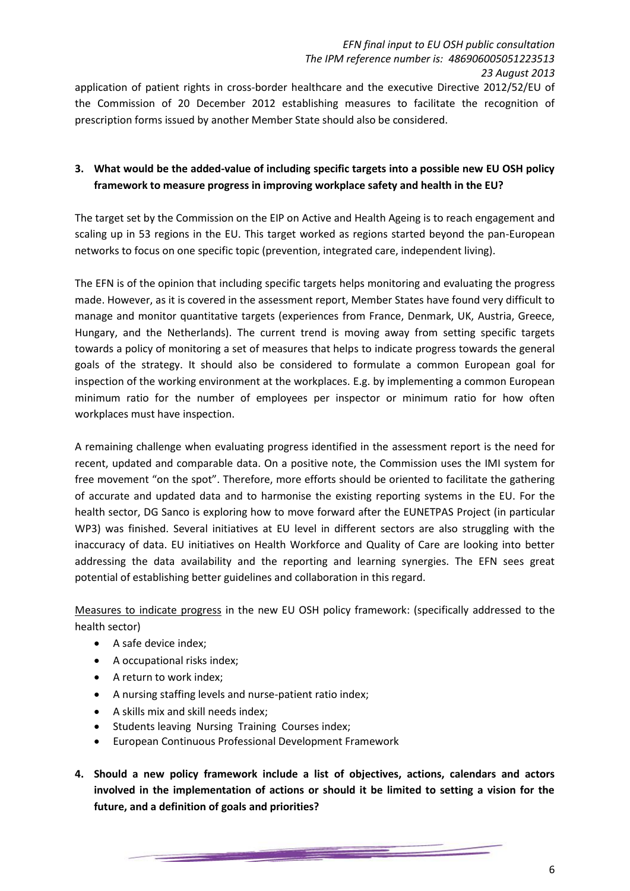application of patient rights in cross-border healthcare and the executive Directive 2012/52/EU of the Commission of 20 December 2012 establishing measures to facilitate the recognition of prescription forms issued by another Member State should also be considered.

## **3. What would be the added-value of including specific targets into a possible new EU OSH policy framework to measure progress in improving workplace safety and health in the EU?**

The target set by the Commission on the EIP on Active and Health Ageing is to reach engagement and scaling up in 53 regions in the EU. This target worked as regions started beyond the pan-European networks to focus on one specific topic (prevention, integrated care, independent living).

The EFN is of the opinion that including specific targets helps monitoring and evaluating the progress made. However, as it is covered in the assessment report, Member States have found very difficult to manage and monitor quantitative targets (experiences from France, Denmark, UK, Austria, Greece, Hungary, and the Netherlands). The current trend is moving away from setting specific targets towards a policy of monitoring a set of measures that helps to indicate progress towards the general goals of the strategy. It should also be considered to formulate a common European goal for inspection of the working environment at the workplaces. E.g. by implementing a common European minimum ratio for the number of employees per inspector or minimum ratio for how often workplaces must have inspection.

A remaining challenge when evaluating progress identified in the assessment report is the need for recent, updated and comparable data. On a positive note, the Commission uses the IMI system for free movement "on the spot". Therefore, more efforts should be oriented to facilitate the gathering of accurate and updated data and to harmonise the existing reporting systems in the EU. For the health sector, DG Sanco is exploring how to move forward after the EUNETPAS Project (in particular WP3) was finished. Several initiatives at EU level in different sectors are also struggling with the inaccuracy of data. EU initiatives on Health Workforce and Quality of Care are looking into better addressing the data availability and the reporting and learning synergies. The EFN sees great potential of establishing better guidelines and collaboration in this regard.

Measures to indicate progress in the new EU OSH policy framework: (specifically addressed to the health sector)

- A safe device index;
- A occupational risks index;
- A return to work index;
- A nursing staffing levels and nurse-patient ratio index;
- A skills mix and skill needs index;
- Students leaving Nursing Training Courses index;
- European Continuous Professional Development Framework
- **4. Should a new policy framework include a list of objectives, actions, calendars and actors involved in the implementation of actions or should it be limited to setting a vision for the future, and a definition of goals and priorities?**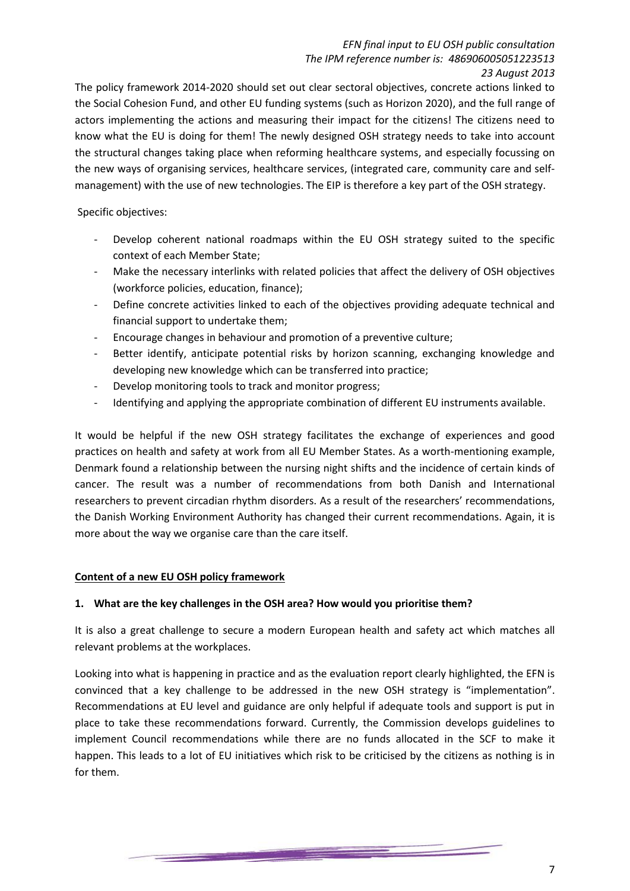The policy framework 2014-2020 should set out clear sectoral objectives, concrete actions linked to the Social Cohesion Fund, and other EU funding systems (such as Horizon 2020), and the full range of actors implementing the actions and measuring their impact for the citizens! The citizens need to know what the EU is doing for them! The newly designed OSH strategy needs to take into account the structural changes taking place when reforming healthcare systems, and especially focussing on the new ways of organising services, healthcare services, (integrated care, community care and selfmanagement) with the use of new technologies. The EIP is therefore a key part of the OSH strategy.

Specific objectives:

- Develop coherent national roadmaps within the EU OSH strategy suited to the specific context of each Member State;
- Make the necessary interlinks with related policies that affect the delivery of OSH objectives (workforce policies, education, finance);
- Define concrete activities linked to each of the objectives providing adequate technical and financial support to undertake them;
- Encourage changes in behaviour and promotion of a preventive culture;
- Better identify, anticipate potential risks by horizon scanning, exchanging knowledge and developing new knowledge which can be transferred into practice;
- Develop monitoring tools to track and monitor progress;
- Identifying and applying the appropriate combination of different EU instruments available.

It would be helpful if the new OSH strategy facilitates the exchange of experiences and good practices on health and safety at work from all EU Member States. As a worth-mentioning example, Denmark found a relationship between the nursing night shifts and the incidence of certain kinds of cancer. The result was a number of recommendations from both Danish and International researchers to prevent circadian rhythm disorders. As a result of the researchers' recommendations, the Danish Working Environment Authority has changed their current recommendations. Again, it is more about the way we organise care than the care itself.

## **Content of a new EU OSH policy framework**

## **1. What are the key challenges in the OSH area? How would you prioritise them?**

It is also a great challenge to secure a modern European health and safety act which matches all relevant problems at the workplaces.

Looking into what is happening in practice and as the evaluation report clearly highlighted, the EFN is convinced that a key challenge to be addressed in the new OSH strategy is "implementation". Recommendations at EU level and guidance are only helpful if adequate tools and support is put in place to take these recommendations forward. Currently, the Commission develops guidelines to implement Council recommendations while there are no funds allocated in the SCF to make it happen. This leads to a lot of EU initiatives which risk to be criticised by the citizens as nothing is in for them.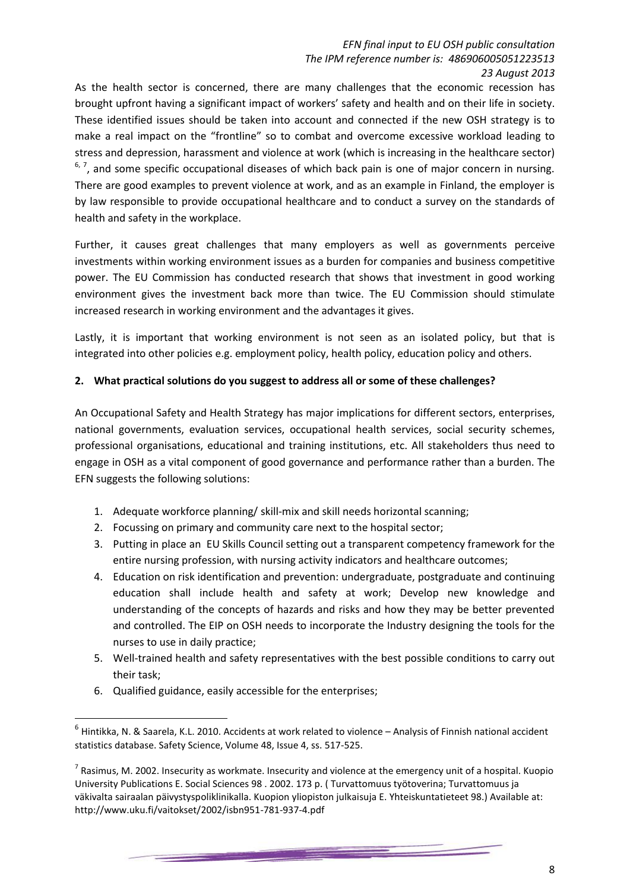As the health sector is concerned, there are many challenges that the economic recession has brought upfront having a significant impact of workers' safety and health and on their life in society. These identified issues should be taken into account and connected if the new OSH strategy is to make a real impact on the "frontline" so to combat and overcome excessive workload leading to stress and depression, harassment and violence at work (which is increasing in the healthcare sector)  $6, 7$ , and some specific occupational diseases of which back pain is one of major concern in nursing. There are good examples to prevent violence at work, and as an example in Finland, the employer is by law responsible to provide occupational healthcare and to conduct a survey on the standards of health and safety in the workplace.

Further, it causes great challenges that many employers as well as governments perceive investments within working environment issues as a burden for companies and business competitive power. The EU Commission has conducted research that shows that investment in good working environment gives the investment back more than twice. The EU Commission should stimulate increased research in working environment and the advantages it gives.

Lastly, it is important that working environment is not seen as an isolated policy, but that is integrated into other policies e.g. employment policy, health policy, education policy and others.

## **2. What practical solutions do you suggest to address all or some of these challenges?**

An Occupational Safety and Health Strategy has major implications for different sectors, enterprises, national governments, evaluation services, occupational health services, social security schemes, professional organisations, educational and training institutions, etc. All stakeholders thus need to engage in OSH as a vital component of good governance and performance rather than a burden. The EFN suggests the following solutions:

- 1. Adequate workforce planning/ skill-mix and skill needs horizontal scanning;
- 2. Focussing on primary and community care next to the hospital sector;
- 3. Putting in place an EU Skills Council setting out a transparent competency framework for the entire nursing profession, with nursing activity indicators and healthcare outcomes;
- 4. Education on risk identification and prevention: undergraduate, postgraduate and continuing education shall include health and safety at work; Develop new knowledge and understanding of the concepts of hazards and risks and how they may be better prevented and controlled. The EIP on OSH needs to incorporate the Industry designing the tools for the nurses to use in daily practice;
- 5. Well-trained health and safety representatives with the best possible conditions to carry out their task;
- 6. Qualified guidance, easily accessible for the enterprises;

1

<u>en de la provincia de la provincia de la provincia de la provincia de la provincia de la provincia de la provi</u>

<sup>6</sup> Hintikka, N. & Saarela, K.L. 2010. Accidents at work related to violence – Analysis of Finnish national accident statistics database. Safety Science, Volume 48, Issue 4, ss. 517-525.

 $^7$  Rasimus, M. 2002. Insecurity as workmate. Insecurity and violence at the emergency unit of a hospital. Kuopio University Publications E. Social Sciences 98 . 2002. 173 p. ( Turvattomuus työtoverina; Turvattomuus ja väkivalta sairaalan päivystyspoliklinikalla. Kuopion yliopiston julkaisuja E. Yhteiskuntatieteet 98.) Available at: http://www.uku.fi/vaitokset/2002/isbn951-781-937-4.pdf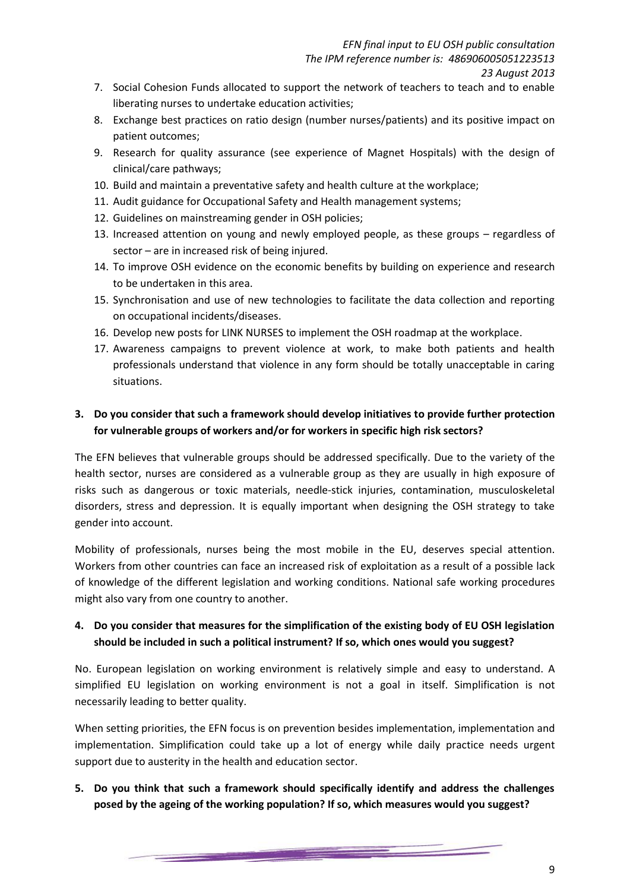- 7. Social Cohesion Funds allocated to support the network of teachers to teach and to enable liberating nurses to undertake education activities;
- 8. Exchange best practices on ratio design (number nurses/patients) and its positive impact on patient outcomes;
- 9. Research for quality assurance (see experience of Magnet Hospitals) with the design of clinical/care pathways;
- 10. Build and maintain a preventative safety and health culture at the workplace;
- 11. Audit guidance for Occupational Safety and Health management systems;
- 12. Guidelines on mainstreaming gender in OSH policies;
- 13. Increased attention on young and newly employed people, as these groups regardless of sector – are in increased risk of being injured.
- 14. To improve OSH evidence on the economic benefits by building on experience and research to be undertaken in this area.
- 15. Synchronisation and use of new technologies to facilitate the data collection and reporting on occupational incidents/diseases.
- 16. Develop new posts for LINK NURSES to implement the OSH roadmap at the workplace.
- 17. Awareness campaigns to prevent violence at work, to make both patients and health professionals understand that violence in any form should be totally unacceptable in caring situations.

# **3. Do you consider that such a framework should develop initiatives to provide further protection for vulnerable groups of workers and/or for workers in specific high risk sectors?**

The EFN believes that vulnerable groups should be addressed specifically. Due to the variety of the health sector, nurses are considered as a vulnerable group as they are usually in high exposure of risks such as dangerous or toxic materials, needle-stick injuries, contamination, musculoskeletal disorders, stress and depression. It is equally important when designing the OSH strategy to take gender into account.

Mobility of professionals, nurses being the most mobile in the EU, deserves special attention. Workers from other countries can face an increased risk of exploitation as a result of a possible lack of knowledge of the different legislation and working conditions. National safe working procedures might also vary from one country to another.

# **4. Do you consider that measures for the simplification of the existing body of EU OSH legislation should be included in such a political instrument? If so, which ones would you suggest?**

No. European legislation on working environment is relatively simple and easy to understand. A simplified EU legislation on working environment is not a goal in itself. Simplification is not necessarily leading to better quality.

When setting priorities, the EFN focus is on prevention besides implementation, implementation and implementation. Simplification could take up a lot of energy while daily practice needs urgent support due to austerity in the health and education sector.

**5. Do you think that such a framework should specifically identify and address the challenges posed by the ageing of the working population? If so, which measures would you suggest?**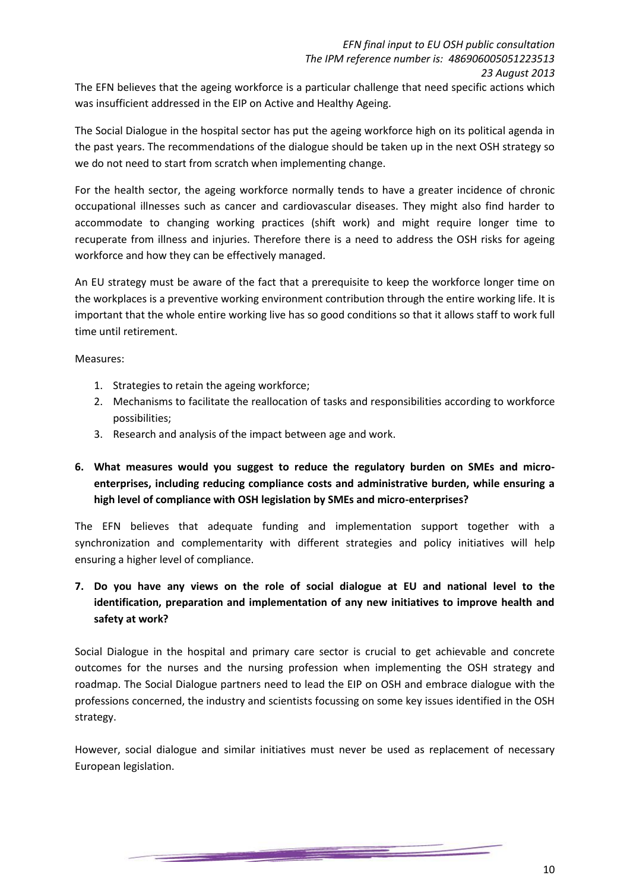The EFN believes that the ageing workforce is a particular challenge that need specific actions which was insufficient addressed in the EIP on Active and Healthy Ageing.

The Social Dialogue in the hospital sector has put the ageing workforce high on its political agenda in the past years. The recommendations of the dialogue should be taken up in the next OSH strategy so we do not need to start from scratch when implementing change.

For the health sector, the ageing workforce normally tends to have a greater incidence of chronic occupational illnesses such as cancer and cardiovascular diseases. They might also find harder to accommodate to changing working practices (shift work) and might require longer time to recuperate from illness and injuries. Therefore there is a need to address the OSH risks for ageing workforce and how they can be effectively managed.

An EU strategy must be aware of the fact that a prerequisite to keep the workforce longer time on the workplaces is a preventive working environment contribution through the entire working life. It is important that the whole entire working live has so good conditions so that it allows staff to work full time until retirement.

Measures:

- 1. Strategies to retain the ageing workforce;
- 2. Mechanisms to facilitate the reallocation of tasks and responsibilities according to workforce possibilities;
- 3. Research and analysis of the impact between age and work.
- **6. What measures would you suggest to reduce the regulatory burden on SMEs and microenterprises, including reducing compliance costs and administrative burden, while ensuring a high level of compliance with OSH legislation by SMEs and micro-enterprises?**

The EFN believes that adequate funding and implementation support together with a synchronization and complementarity with different strategies and policy initiatives will help ensuring a higher level of compliance.

**7. Do you have any views on the role of social dialogue at EU and national level to the identification, preparation and implementation of any new initiatives to improve health and safety at work?**

Social Dialogue in the hospital and primary care sector is crucial to get achievable and concrete outcomes for the nurses and the nursing profession when implementing the OSH strategy and roadmap. The Social Dialogue partners need to lead the EIP on OSH and embrace dialogue with the professions concerned, the industry and scientists focussing on some key issues identified in the OSH strategy.

However, social dialogue and similar initiatives must never be used as replacement of necessary European legislation.